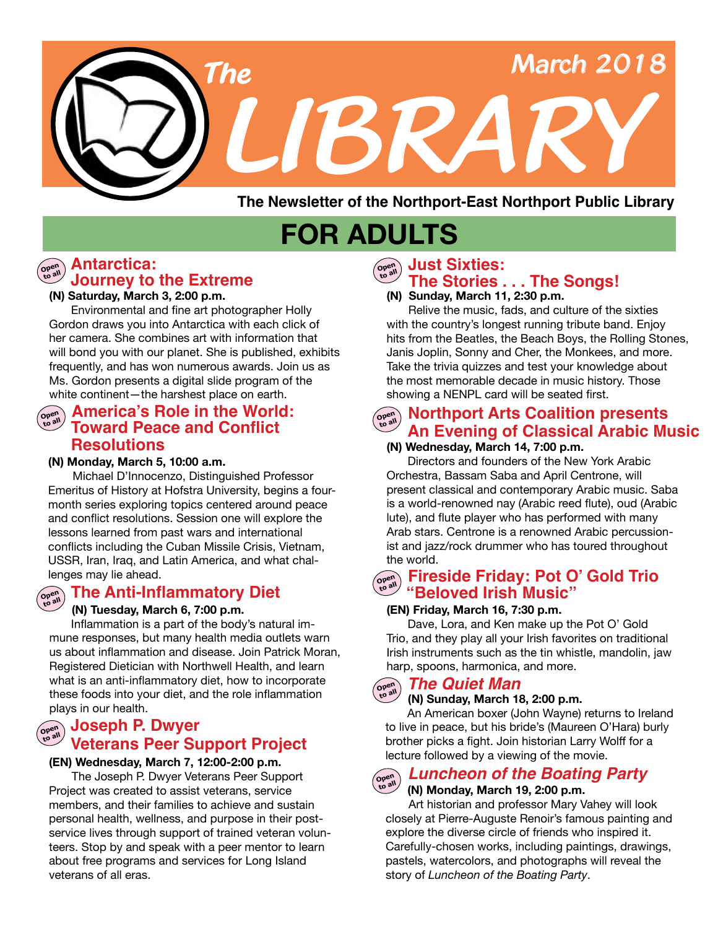

**The Newsletter of the Northport-East Northport Public Library**

# **FOR ADULTS**

#### **Open to all Antarctica: Journey to the Extreme**

#### **(N) Saturday, March 3, 2:00 p.m.**

Environmental and fine art photographer Holly Gordon draws you into Antarctica with each click of her camera. She combines art with information that will bond you with our planet. She is published, exhibits frequently, and has won numerous awards. Join us as Ms. Gordon presents a digital slide program of the white continent—the harshest place on earth.

#### **America's Role in the World: Open to all Toward Peace and Conflict Resolutions**

#### **(N) Monday, March 5, 10:00 a.m.**

Michael D'Innocenzo, Distinguished Professor Emeritus of History at Hofstra University, begins a fourmonth series exploring topics centered around peace and conflict resolutions. Session one will explore the lessons learned from past wars and international conflicts including the Cuban Missile Crisis, Vietnam, USSR, Iran, Iraq, and Latin America, and what challenges may lie ahead.

#### **The Anti-Inflammatory Diet Open to all**

#### **(N) Tuesday, March 6, 7:00 p.m.**

 Inflammation is a part of the body's natural immune responses, but many health media outlets warn us about inflammation and disease. Join Patrick Moran, Registered Dietician with Northwell Health, and learn what is an anti-inflammatory diet, how to incorporate these foods into your diet, and the role inflammation plays in our health.

#### **Veterans Peer Support Project**  $Ope^n$ **to all Joseph P. Dwyer**

#### **(EN) Wednesday, March 7, 12:00-2:00 p.m.**

 The Joseph P. Dwyer Veterans Peer Support Project was created to assist veterans, service members, and their families to achieve and sustain personal health, wellness, and purpose in their postservice lives through support of trained veteran volunteers. Stop by and speak with a peer mentor to learn about free programs and services for Long Island veterans of all eras.

#### **Just Sixties: Open**

#### **to all The Stories . . . The Songs!**

#### **(N) Sunday, March 11, 2:30 p.m.**

Relive the music, fads, and culture of the sixties with the country's longest running tribute band. Enjoy hits from the Beatles, the Beach Boys, the Rolling Stones, Janis Joplin, Sonny and Cher, the Monkees, and more. Take the trivia quizzes and test your knowledge about the most memorable decade in music history. Those showing a NENPL card will be seated first.

#### **Northport Arts Coalition presents An Evening of Classical Arabic Music**

#### **(N) Wednesday, March 14, 7:00 p.m.**

Directors and founders of the New York Arabic Orchestra, Bassam Saba and April Centrone, will present classical and contemporary Arabic music. Saba is a world-renowned nay (Arabic reed flute), oud (Arabic lute), and flute player who has performed with many Arab stars. Centrone is a renowned Arabic percussionist and jazz/rock drummer who has toured throughout the world.

#### **Fireside Friday: Pot O' Gold Trio Open to all "Beloved Irish Music"**

#### **(EN) Friday, March 16, 7:30 p.m.**

Dave, Lora, and Ken make up the Pot O' Gold Trio, and they play all your Irish favorites on traditional Irish instruments such as the tin whistle, mandolin, jaw harp, spoons, harmonica, and more.

#### *The Quiet Man* **Open to all**

#### **(N) Sunday, March 18, 2:00 p.m.**

 An American boxer (John Wayne) returns to Ireland to live in peace, but his bride's (Maureen O'Hara) burly brother picks a fight. Join historian Larry Wolff for a lecture followed by a viewing of the movie.

#### Open<br>to all **to all** *Luncheon of the Boating Party*

 **(N) Monday, March 19, 2:00 p.m.** Art historian and professor Mary Vahey will look closely at Pierre-Auguste Renoir's famous painting and explore the diverse circle of friends who inspired it. Carefully-chosen works, including paintings, drawings, pastels, watercolors, and photographs will reveal the story of *Luncheon of the Boating Party*.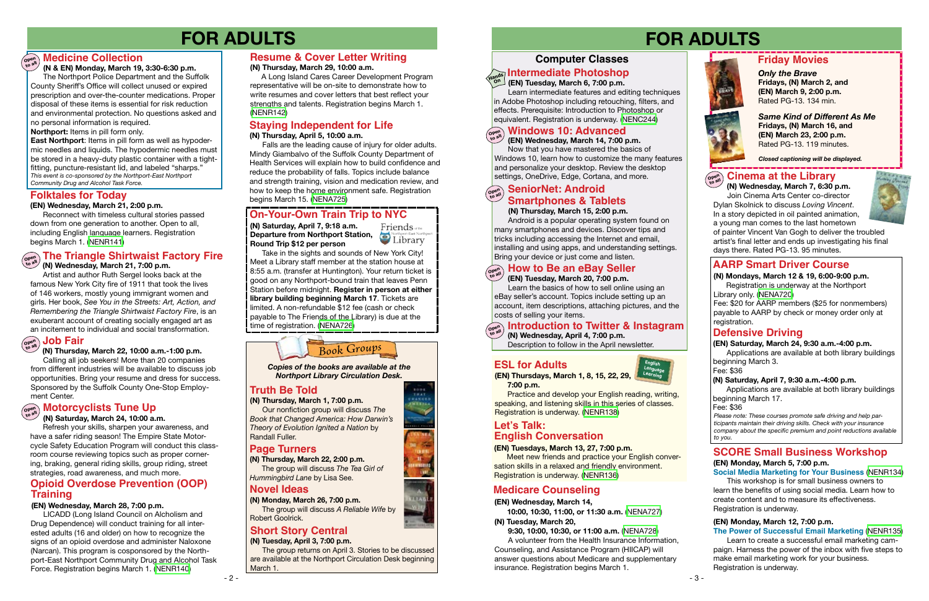#### **Computer Classes**

# **FOR ADULTS FOR ADULTS**







#### **(EN) Tuesday, March 6, 7:00 p.m.**

 Learn intermediate features and editing techniques in Adobe Photoshop including retouching, filters, and effects. Prerequisite: Introduction to Photoshop or equivalent. Registration is underway. ([NENC244](https://search.livebrary.com/record%3Dg1070254~S43))

#### **Defensive Driving**

*Please note: These courses promote safe driving and help participants maintain their driving skills. Check with your insurance company about the specific premium and point reductions available to you.*

Now that you have mastered the basics of Windows 10, learn how to customize the many features and personalize your desktop. Review the desktop settings, OneDrive, Edge, Cortana, and more.

#### **AARP Smart Driver Course**

#### **(N) Mondays, March 12 & 19, 6:00-9:00 p.m.** Registration is underway at the Northport

Library only. ([NENA720](https://search.livebrary.com/record%3Dg1079386~S43))

Fee: \$20 for AARP members (\$25 for nonmembers) payable to AARP by check or money order only at registration.

#### **(EN) Saturday, March 24, 9:30 a.m.-4:00 p.m.**

Applications are available at both library buildings beginning March 3.

Fee: \$36

#### **(EN) Wednesday, March 14, 7:00 p.m.**

 **(N) Thursday, March 22, 10:00 a.m.-1:00 p.m.** Calling all job seekers! More than 20 companies

from different industries will be available to discuss job opportunities. Bring your resume and dress for success. Sponsored by the Suffolk County One-Stop Employment Center.

Take in the sights and sounds of New York City! Meet a Library staff member at the station house at 8:55 a.m. (transfer at Huntington). Your return ticket is good on any Northport-bound train that leaves Penn Station before midnight. **Register in person at either library building beginning March 17**. Tickets are limited. A non-refundable \$12 fee (cash or check payable to The Friends of the Library) is due at the time of registration. [\(NENA726\)](https://search.livebrary.com/record%3Dg1080035~S43)

## **Open Job Fair to all**

#### **Open Medicine Collection**

*Same Kind of Different As Me* **Fridays, (N) March 16, and (EN) March 23, 2:00 p.m.** Rated PG-13. 119 minutes.



#### **Intermediate Photoshop Hands On**

*Only the Brave* **Fridays, (N) March 2, and (EN) March 9, 2:00 p.m.**  Rated PG-13. 134 min.



*Closed captioning will be displayed.*

## $\left(\begin{smallmatrix} \infty & 0 \\ \infty & 0 \end{smallmatrix}\right)$  Cinema at the Library

*Book Groups*

#### **Truth Be Told**

#### **Page Turners**

**(N) Thursday, March 22, 2:00 p.m.** The group will discuss *The Tea Girl of Hummingbird Lane* by Lisa See.

*Copies of the books are available at the Northport Library Circulation Desk.*

**(N) Thursday, March 1, 7:00 p.m.** Our nonfiction group will discuss *The Book that Changed America: How Darwin's Theory of Evolution Ignited a Nation* by Randall Fuller.

**(N) Monday, March 26, 7:00 p.m.** The group will discuss *A Reliable Wife* by Robert Goolrick.

**(N) Saturday, April 7, 9:18 a.m. Departure from Northport Station, Condense Contract Northport East Northport Condense Condensat Northport East Northport Condensat Northport East Northport Condensation Departure from Northport Station, Round Trip \$12 per person**



#### **On-Your-Own Train Trip to NYC**

#### **(N) Saturday, April 7, 9:30 a.m.-4:00 p.m.**

Applications are available at both library buildings beginning March 17.

Fee: \$36

#### **(N & EN) Monday, March 19, 3:30-6:30 p.m.**

 The Northport Police Department and the Suffolk County Sheriff's Office will collect unused or expired prescription and over-the-counter medications. Proper disposal of these items is essential for risk reduction and environmental protection. No questions asked and no personal information is required.

#### **Windows 10: Advanced Open to all**

**Northport:** Items in pill form only.

 **7:00 p.m. Practice and develop your English reading, writing,** 

**East Northport**: Items in pill form as well as hypodermic needles and liquids. The hypodermic needles must be stored in a heavy-duty plastic container with a tightfitting, puncture-resistant lid, and labeled "sharps." *This event is co-sponsored by the Northport-East Northport Community Drug and Alcohol Task Force.*

#### **Open to all The Triangle Shirtwaist Factory Fire (N) Wednesday, March 21, 7:00 p.m.**

Artist and author Ruth Sergel looks back at the famous New York City fire of 1911 that took the lives of 146 workers, mostly young immigrant women and girls. Her book, *See You in the Streets: Art, Action, and Remembering the Triangle Shirtwaist Factory Fire*, is an exuberant account of creating socially engaged art as an incitement to individual and social transformation.

## **Open Motorcyclists Tune Up to all**

#### **(N) Saturday, March 24, 10:00 a.m.**

#### **Open Introduction to Twitter & Instagram (N) Wednesday, April 4, 7:00 p.m.**

Refresh your skills, sharpen your awareness, and have a safer riding season! The Empire State Motorcycle Safety Education Program will conduct this classroom course reviewing topics such as proper cornering, braking, general riding skills, group riding, street strategies, road awareness, and much more.

#### **( EN) Wednesday, March 28, 7:00 p.m.**

#### **Opioid Overdose Prevention (OOP) Training**

LICADD (Long Island Council on Alcholism and Drug Dependence) will conduct training for all interested adults (16 and older) on how to recognize the signs of an opioid overdose and administer Naloxone (Narcan). This program is cosponsored by the Northport-East Northport Community Drug and Alcohol Task Force. Registration begins March 1. [\(NENR140](https://search.livebrary.com/record%3Dg1080323~S43))

#### **Staying Independent for Life**

#### **(N) Thursday, April 5, 10:00 a.m.**

 Falls are the leading cause of injury for older adults. Mindy Giambalvo of the Suffolk County Department of Health Services will explain how to build confidence and reduce the probability of falls. Topics include balance and strength training, vision and medication review, and how to keep the home environment safe. Registration begins March 15. ([NENA725](https://search.livebrary.com/record%3Dg1080034~S43))

#### **Novel Ideas**

#### **Short Story Central**

**(N) Tuesday, April 3, 7:00 p.m.**

 The group returns on April 3. Stories to be discussed are available at the Northport Circulation Desk beginning March 1.

#### **(N) Thursday, March 15, 2:00 p.m.**

Android is a popular operating system found on many smartphones and devices. Discover tips and tricks including accessing the Internet and email, installing and using apps, and understanding settings. Bring your device or just come and listen.

## **Open How to Be an eBay Seller to aller the aller to aller**

#### **Open SeniorNet: Android open**<br>to all **Smartphones & Tablets**

 **(N) Wednesday, March 7, 6:30 p.m.** Join Cinema Arts Center co-director Dylan Skolnick to discuss *Loving Vincent*. In a story depicted in oil painted animation, a young man comes to the last hometown



of painter Vincent Van Gogh to deliver the troubled artist's final letter and ends up investigating his final days there. Rated PG-13. 95 minutes.

#### **(EN) Tuesday, March 20, 7:00 p.m.**

 Learn the basics of how to sell online using an eBay seller's account. Topics include setting up an account, item descriptions, attaching pictures, and the costs of selling your items.

#### **(EN) Tuesdays, March 13, 27, 7:00 p.m.**

Meet new friends and practice your English conversation skills in a relaxed and friendly environment. Registration is underway. ([NENR136\)](https://search.livebrary.com/record%3Dg1078766~S43)



#### **(EN) Wednesday, March 21, 2:00 p.m.**

Reconnect with timeless cultural stories passed down from one generation to another. Open to all, including English language learners. Registration begins March 1. [\(NENR141](https://search.livebrary.com/record%3Dg1080315~S43))

#### **Let's Talk: English Conversation**

#### **Folktales for Today**

## **(EN) Thursdays, March 1, 8, 15, 22, 29,**

speaking, and listening skills in this series of classes. Registration is underway. [\(NENR138\)](https://search.livebrary.com/record%3Dg1078978~S43)

#### **ESL for Adults**

**(EN) Wednesday, March 14,**

 **10:00, 10:30, 11:00, or 11:30 a.m.** [\(NENA727\)](https://search.livebrary.com/record%3Dg1079978~S43) **(N) Tuesday, March 20,**

#### **9:30, 10:00, 10:30, or 11:00 a.m.** ([NENA728](https://search.livebrary.com/record%3Dg1079978~S43))

A volunteer from the Health Insurance Information, Counseling, and Assistance Program (HIICAP) will answer questions about Medicare and supplementary insurance. Registration begins March 1.

#### **Medicare Counseling**

#### **(N) Thursday, March 29, 10:00 a.m.**

 A Long Island Cares Career Development Program representative will be on-site to demonstrate how to write resumes and cover letters that best reflect your strengths and talents. Registration begins March 1. [\(NENR142](https://search.livebrary.com/record%3Dg1080328~S43))

#### **Resume & Cover Letter Writing**

#### **SCORE Small Business Workshop (EN) Monday, March 5, 7:00 p.m.**

**Social Media Marketing for Your Business** ([NENR134\)](https://search.livebrary.com/record%3Dg1078926~S43) This workshop is for small business owners to learn the benefits of using social media. Learn how to create content and to measure its effectiveness. Registration is underway.

#### **(EN) Monday, March 12, 7:00 p.m.**

**The Power of Successful Email Marketing** [\(NENR135](https://search.livebrary.com/record%3Dg1078928~S43)) Learn to create a successful email marketing campaign. Harness the power of the inbox with five steps to make email marketing work for your business.

Registration is underway.

Description to follow in the April newsletter.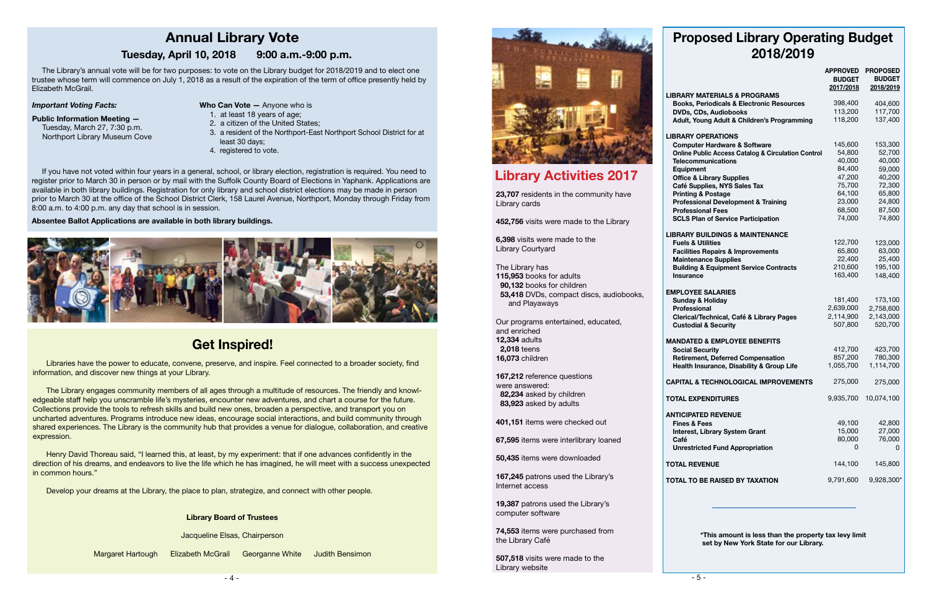- 4 -



## **Get Inspired!**

Jacqueline Elsas, Chairperson

Margaret Hartough Elizabeth McGrail Georganne White Judith Bensimon

Libraries have the power to educate, convene, preserve, and inspire. Feel connected to a broader society, find **Language**  $\frac{1}{2}$ information, and discover new things at your Library.

The Library engages community members of all ages through a multitude of resources. The friendly and knowledgeable staff help you unscramble life's mysteries, encounter new adventures, and chart a course for the future. Collections provide the tools to refresh skills and build new ones, broaden a perspective, and transport you on uncharted adventures. Programs introduce new ideas, encourage social interactions, and build community through shared experiences. The Library is the community hub that provides a venue for dialogue, collaboration, and creative expression.

Henry David Thoreau said, "I learned this, at least, by my experiment: that if one advances confidently in the direction of his dreams, and endeavors to live the life which he has imagined, he will meet with a success unexpected in common hours."

Develop your dreams at the Library, the place to plan, strategize, and connect with other people.

The Library's annual vote will be for two purposes: to vote on the Library budget for 2018/2019 and to elect one trustee whose term will commence on July 1, 2018 as a result of the expiration of the term of office presently held by Elizabeth McGrail.

*Important Voting Facts:*

#### **Public Information Meeting —**

Tuesday, March 27, 7:30 p.m. Northport Library Museum Cove

If you have not voted within four years in a general, school, or library election, registration is required. You need to register prior to March 30 in person or by mail with the Suffolk County Board of Elections in Yaphank. Applications are available in both library buildings. Registration for only library and school district elections may be made in person prior to March 30 at the office of the School District Clerk, 158 Laurel Avenue, Northport, Monday through Friday from 8:00 a.m. to 4:00 p.m. any day that school is in session.

#### **Absentee Ballot Applications are available in both library buildings.**



## **Annual Library Vote**

#### **Tuesday, April 10, 2018 9:00 a.m.-9:00 p.m.**

- **Who Can Vote —** Anyone who is
	- 1. at least 18 years of age;
- 2. a citizen of the United States;
- 3. a resident of the Northport-East Northport School District for at least 30 days;
- 4. registered to vote.

#### **Library Board of Trustees**

## **Library Activities 2017**

## **Proposed Library Operating Budget 2018/2019**

#### **EMPL Sun**

#### **MAND**

**Social Security**

|                                                                             | <b>APPROVED</b><br><b>BUDGET</b><br>2017/2018 | <b>PROPOSED</b><br><b>BUDGET</b><br>2018/2019 |
|-----------------------------------------------------------------------------|-----------------------------------------------|-----------------------------------------------|
| <b>LIBRARY MATERIALS &amp; PROGRAMS</b>                                     |                                               |                                               |
| <b>Books, Periodicals &amp; Electronic Resources</b>                        | 398,400                                       | 404,600                                       |
| <b>DVDs, CDs, Audiobooks</b>                                                | 113,200                                       | 117,700                                       |
| Adult, Young Adult & Children's Programming                                 | 118,200                                       | 137,400                                       |
| <b>LIBRARY OPERATIONS</b>                                                   |                                               |                                               |
| <b>Computer Hardware &amp; Software</b>                                     | 145,600                                       | 153,300                                       |
| <b>Online Public Access Catalog &amp; Circulation Control</b>               | 54,800                                        | 52,700                                        |
| <b>Telecommunications</b>                                                   | 40,000                                        | 40,000                                        |
| <b>Equipment</b>                                                            | 84,400                                        | 59,000                                        |
| <b>Office &amp; Library Supplies</b>                                        | 47,200                                        | 40,200                                        |
| Café Supplies, NYS Sales Tax                                                | 75,700                                        | 72,300                                        |
| <b>Printing &amp; Postage</b>                                               | 64,100                                        | 65,800                                        |
| <b>Professional Development &amp; Training</b>                              | 23,000                                        | 24,800                                        |
| <b>Professional Fees</b>                                                    | 68,500                                        | 87,500                                        |
| <b>SCLS Plan of Service Participation</b>                                   | 74,000                                        | 74,800                                        |
| <b>LIBRARY BUILDINGS &amp; MAINTENANCE</b>                                  |                                               |                                               |
| <b>Fuels &amp; Utilities</b>                                                | 122,700<br>65,800                             | 123,000<br>63,000                             |
| <b>Facilities Repairs &amp; Improvements</b><br><b>Maintenance Supplies</b> | 22,400                                        | 25,400                                        |
| <b>Building &amp; Equipment Service Contracts</b>                           | 210,600                                       | 195,100                                       |
| <b>Insurance</b>                                                            | 163,400                                       | 148,400                                       |
| <b>EMPLOYEE SALARIES</b>                                                    |                                               |                                               |
| <b>Sunday &amp; Holiday</b>                                                 | 181,400                                       | 173,100                                       |
| Professional                                                                | 2,639,000                                     | 2,758,600                                     |
| Clerical/Technical, Café & Library Pages                                    | 2,114,900                                     | 2,143,000                                     |
| <b>Custodial &amp; Security</b>                                             | 507,800                                       | 520,700                                       |
| <b>MANDATED &amp; EMPLOYEE BENEFITS</b>                                     |                                               |                                               |
| <b>Social Security</b>                                                      | 412,700                                       | 423,700                                       |
| <b>Retirement, Deferred Compensation</b>                                    | 857,200                                       | 780,300                                       |
| Health Insurance, Disability & Group Life                                   | 1,055,700                                     | 1,114,700                                     |
| <b>CAPITAL &amp; TECHNOLOGICAL IMPROVEMENTS</b>                             | 275,000                                       | 275,000                                       |
| <b>TOTAL EXPENDITURES</b>                                                   | 9,935,700                                     | 10,074,100                                    |
| <b>ANTICIPATED REVENUE</b>                                                  |                                               |                                               |
| <b>Fines &amp; Fees</b>                                                     | 49,100                                        | 42,800                                        |
| <b>Interest, Library System Grant</b>                                       | 15,000                                        | 27,000                                        |
| Café                                                                        | 80,000                                        | 76,000                                        |
| <b>Unrestricted Fund Appropriation</b>                                      | 0                                             | 0                                             |
| <b>TOTAL REVENUE</b>                                                        | 144,100                                       | 145,800                                       |
| <b>TOTAL TO BE RAISED BY TAXATION</b>                                       | 9,791,600                                     | 9,928,300*                                    |
|                                                                             |                                               |                                               |

 **\*This amount is less than the property tax levy limit set by New York State for our Library.**

**23,707** residents in the community have Library cards

**452,756** visits were made to the Library

**6,398** visits were made to the Library Courtyard

The Library has **115,953** books for adults  **90,132** books for children  **53,418** DVDs, compact discs, audiobooks, and Playaways

Our programs entertained, educated, and enriched **12,334** adults  **2,018** teens **16,073** children

**167,212** reference questions were answered:  **82,234** asked by children  **83,923** asked by adults

**401,151** items were checked out

**67,595** items were interlibrary loaned

**50,435** items were downloaded

**167,245** patrons used the Library's Internet access

**19,387** patrons used the Library's computer software

**74,553** items were purchased from the Library Café

**507,518** visits were made to the Library website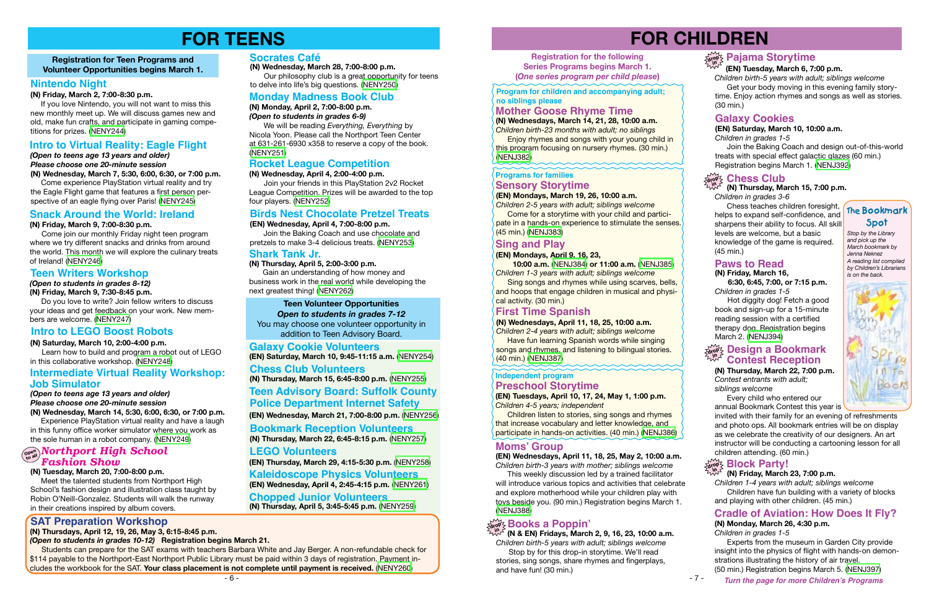- 7 -

# **FOR CHILDREN**

## $\sum_{k=1}^{\infty} P_k$ ajama Storytime

#### **(N) Thursday, March 15, 7:00 p.m.**

*Children in grades 3-6*

#### **drop in Chess Club**

Chess teaches children foresight, helps to expand self-confidence, and sharpens their ability to focus. All skill levels are welcome, but a basic knowledge of the game is required. (45 min.)

#### **Paws to Read**

#### **(N) Friday, March 16, 6:30, 6:45, 7:00, or 7:15 p.m.**

*Children in grades 1-5*

 Hot diggity dog! Fetch a good book and sign-up for a 15-minute reading session with a certified therapy dog. Registration begins March 2. ([NENJ394\)](https://search.livebrary.com/record%3Dg1079866~S43)

*Stop by the Library and pick up the March bookmark by Jenna Neknez A reading list compiled by Children's Librarians is on the back.*



#### *(Open to students in grades 8-12)*

#### **(N) Friday, March 9, 7:30-8:45 p.m.**

 Do you love to write? Join fellow writers to discuss your ideas and get feedback on your work. New members are welcome. ([NENY247](https://search.livebrary.com/record%3Dg1079899~S43))

**Registration for Teen Programs and Volunteer Opportunities begins March 1.**



# **FOR TEENS**

#### **Teen Writers Workshop**

#### **(N) Tuesday, March 20, 7:00-8:00 p.m.**

 Meet the talented students from Northport High School's fashion design and illustration class taught by Robin O'Neill-Gonzalez. Students will walk the runway in their creations inspired by album covers.

#### **Nintendo Night**

**(N) Friday, March 2, 7:00-8:30 p.m.**

 If you love Nintendo, you will not want to miss this new monthly meet up. We will discuss games new and old, make fun crafts, and participate in gaming competitions for prizes. ([NENY244](https://search.livebrary.com/record%3Dg1079897~S43))

# **Registration for the following**

**Series Programs begins March 1. (***One series program per child please***)**

#### **(EN) Tuesday, March 6, 7:00 p.m.**

*Children birth-5 years with adult; siblings welcome* Get your body moving in this evening family storytime. Enjoy action rhymes and songs as well as stories. (30 min.)

#### were **Northport High School** *Fashion Show*

#### **(EN) Saturday, March 10, 10:00 a.m.**

*Children in grades 1-5*

Join the Baking Coach and design out-of-this-world treats with special effect galactic glazes (60 min.) Registration begins March 1. ([NENJ392](https://search.livebrary.com/record%3Dg1079332~S43))

Join your friends in this PlayStation 2v2 Rocket League Competition. Prizes will be awarded to the top four players. [\(NENY252\)](https://search.livebrary.com/record%3Dg1079909~S43)

#### **Galaxy Cookies**

#### **(N) Thursday, March 22, 7:00 p.m.**

*Contest entrants with adult; siblings welcome*

 Every child who entered our annual Bookmark Contest this year is

invited with their family for an evening of refreshments and photo ops. All bookmark entries will be on display as we celebrate the creativity of our designers. An art instructor will be conducting a cartooning lesson for all children attending. (60 min.)

#### **The Bookmark Spot**

 *(Open to teens age 13 years and older) Please choose one 20-minute session* **(N) Wednesday, March 7, 5:30, 6:00, 6:30, or 7:00 p.m.**

Come experience PlayStation virtual reality and try the Eagle Flight game that features a first person perspective of an eagle flying over Paris! [\(NENY245](https://search.livebrary.com/record%3Dg1079975~S43))

#### **Intro to Virtual Reality: Eagle Flight**

#### **(N) Friday, March 9, 7:00-8:30 p.m.**

**Enjoy rhymes and songs with your young child in** this program focusing on nursery rhymes. (30 min.) ([NENJ382](https://search.livebrary.com/record%3Dg1079858~S43))

 Come join our monthly Friday night teen program where we try different snacks and drinks from around the world. This month we will explore the culinary treats of Ireland! ([NENY246\)](https://search.livebrary.com/record%3Dg1079898~S43)

#### **Snack Around the World: Ireland**

**Come for a storytime with your child and partici**pate in a hands-on experience to stimulate the senses. (45 min.) ([NENJ383](https://search.livebrary.com/record%3Dg1079877~S43))

#### **(N) Saturday, March 10, 2:00-4:00 p.m.**

 Learn how to build and program a robot out of LEGO in this collaborative workshop. [\(NENY248\)](https://search.livebrary.com/record%3Dg1079900~S43)

#### **Intro to LEGO Boost Robots**

*(Open to teens age 13 years and older) Please choose one 20-minute session*

**Sing songs and rhymes while using scarves, bells,** and hoops that engage children in musical and physical activity. (30 min.)

**(N) Wednesday, March 14, 5:30, 6:00, 6:30, or 7:00 p.m.** Experience PlayStation virtual reality and have a laugh in this funny office worker simulator where you work as the sole human in a robot company. ([NENY249](https://search.livebrary.com/record%3Dg1079980~S43))

**Children listen to stories, sing songs and rhymes** that increase vocabulary and letter knowledge, and participate in hands-on activities. (40 min.) [\(NENJ386\)](https://search.livebrary.com/record%3Dg1079880~S43)

#### **Intermediate Virtual Reality Workshop: Job Simulator**

#### **Monday Madness Book Club**

#### **(N) Monday, April 2, 7:00-8:00 p.m.**

#### **drop <b>Design a Bookmark**<br><sup>2007</sup> Contest Peception **Contest Reception**

*(Open to students in grades 6-9)*

 We will be reading *Everything, Everything* by Nicola Yoon. Please call the Northport Teen Center at 631-261-6930 x358 to reserve a copy of the book. [\(NENY251\)](https://search.livebrary.com/record%3Dg1079907~S43)

#### **Rocket League Competition**

#### **(N) Wednesday, April 4, 2:00-4:00 p.m.**

#### **Birds Nest Chocolate Pretzel Treats**

#### **(EN) Wednesday, April 4, 7:00-8:00 p.m.**

Join the Baking Coach and use chocolate and pretzels to make 3-4 delicious treats. [\(NENY253](https://search.livebrary.com/record%3Dg1079911~S43))

#### **Shark Tank Jr.**

**(N) Thursday, April 5, 2:00-3:00 p.m.** Gain an understanding of how money and business work in the real world while developing the

next greatest thing! ([NENY262](https://search.livebrary.com/record%3Dg1079920~S43))

**(EN) Saturday, March 10, 9:45-11:15 a.m.** [\(NENY254\)](https://search.livebrary.com/record%3Dg1079925~S43)

## **Galaxy Cookie Volunteers**

#### **Teen Volunteer Opportunities**

*Open to students in grades 7-12* You may choose one volunteer opportunity in addition to Teen Advisory Board.

**(N) Thursday, March 22, 6:45-8:15 p.m.** ([NENY257](https://search.livebrary.com/record%3Dg1079961~S43)) **Bookmark Reception Volunteers**

## **Chess Club Volunteers**

**(N) Thursday, March 15, 6:45-8:00 p.m.** ([NENY255](https://search.livebrary.com/record%3Dg1079958~S43))

**Turn the page for more Children's Programs** (50 min.) Registration begins March 5. [\(NENJ397\)](https://search.livebrary.com/record%3Dg1079861~S43)

**(EN) Wednesday, March 21, 7:00-8:00 p.m.** [\(NENY256\)](https://search.livebrary.com/record%3Dg1079962~S43)

**(EN) Thursday, March 29, 4:15-5:30 p.m.** ([NENY258](https://search.livebrary.com/record%3Dg1079963~S43)) **(EN) Wednesday, April 4, 2:45-4:15 p.m.** ([NENY261](https://search.livebrary.com/record%3Dg1079966~S43)) **Kaleidoscope Physics Volunteers Chopped Junior Volunteers**

#### **LEGO Volunteers**

#### **(N) Thursday, April 5, 3:45-5:45 p.m.** ([NENY259](https://search.livebrary.com/record%3Dg1079968~S43))

**(N) Wednesday, March 28, 7:00-8:00 p.m.**

 Our philosophy club is a great opportunity for teens to delve into life's big questions. [\(NENY250\)](https://search.livebrary.com/record%3Dg1079903~S43)

#### **Socrates Café**

#### **SAT Preparation Workshop**

#### **(N) Thursdays, April 12, 19, 26, May 3, 6:15-8:45 p.m.**

*(Open to students in grades 10-12)* **Registration begins March 21.**

Students can prepare for the SAT exams with teachers Barbara White and Jay Berger. A non-refundable check for \$114 payable to the Northport-East Northport Public Library must be paid within 3 days of registration. Payment includes the workbook for the SAT. **Your class placement is not complete until payment is received.** ([NENY260](https://search.livebrary.com/record%3Dg1080234~S43))

### **Mother Goose Rhyme Time**

**(N) Wednesdays, March 14, 21, 28, 10:00 a.m.** *Children birth-23 months with adult; no siblings*

**Program for children and accompanying adult; no siblings please** 

#### **(EN) Mondays, March 19, 26, 10:00 a.m.**

*Children 2-5 years with adult; siblings welcome*

#### **Programs for families Sensory Storytime**

## **Sing and Play**

#### **First Time Spanish**

**(N) Wednesdays, April 11, 18, 25, 10:00 a.m.**

#### **Teen Advisory Board: Suffolk County Police Department Internet Safety**

*Children 2-4 years with adult; siblings welcome* **Have fun learning Spanish words while singing** songs and rhymes, and listening to bilingual stories. (40 min.) [\(NENJ387\)](https://search.livebrary.com/record%3Dg1078126~S43)

#### **(EN) Mondays, April 9, 16, 23,**

 **10:00 a.m.** [\(NENJ384\)](https://search.livebrary.com/record%3Dg1079970~S43) **or 11:00 a.m.** [\(NENJ385\)](https://search.livebrary.com/record%3Dg1079971~S43) *Children 1-3 years with adult; siblings welcome*

**(EN) Tuesdays, April 10, 17, 24, May 1, 1:00 p.m.**  *Children 4-5 years; independent*

#### **Independent program Preschool Storytime**

#### **Moms' Group (EN) Wednesdays, April 11, 18, 25, May 2, 10:00 a.m.**

*Children birth-3 years with mother; siblings welcome*

 This weekly discussion led by a trained facilitator will introduce various topics and activities that celebrate and explore motherhood while your children play with toys beside you. (90 min.) Registration begins March 1. ([NENJ388](https://search.livebrary.com/record%3Dg1079879~S43))

#### **(N) Friday, March 23, 7:00 p.m.**

*Children 1-4 years with adult; siblings welcome* Children have fun building with a variety of blocks and playing with other children. (45 min.)

## **Cradle of Aviation: How Does It Fly?**<br>(N) Monday, March 26, 4:30 p.m.

 **(N & EN) Fridays, March 2, 9, 16, 23, 10:00 a.m.** *Children birth-5 years with adult; siblings welcome* Stop by for this drop-in storytime. We'll read stories, sing songs, share rhymes and fingerplays, and have fun! (30 min.)

**drop in Books a Poppin' (N) Monday, March 26, 4:30 p.m.**

*Children in grades 1-5*

 Experts from the museum in Garden City provide insight into the physics of flight with hands-on demonstrations illustrating the history of air travel.